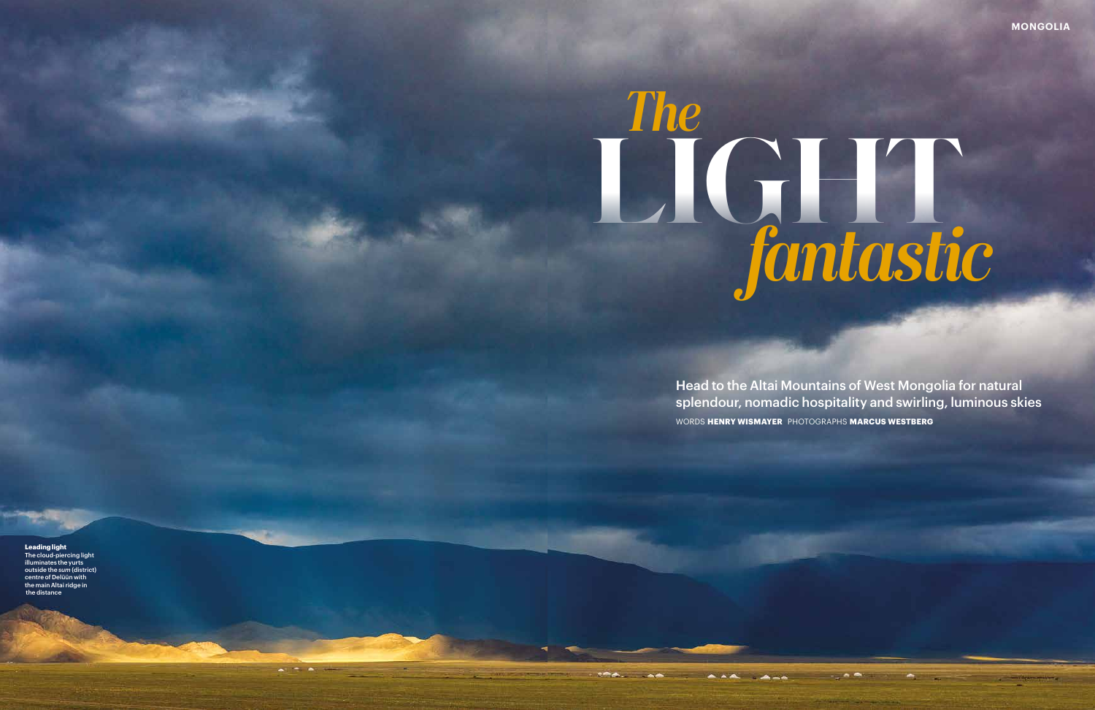Head to the Altai Mountains of West Mongolia for natural splendour, nomadic hospitality and swirling, luminous skies

# LIGHT. *fantastic*

*The*

WORDS **HENRY WISMAYER** PHOTOGRAPHS **MARCUS WESTBERG**

**Leading light**

The cloud-piercing light es the vurt: outside the *sum* (district) centre of Delüün with the main Altai ridge in the distance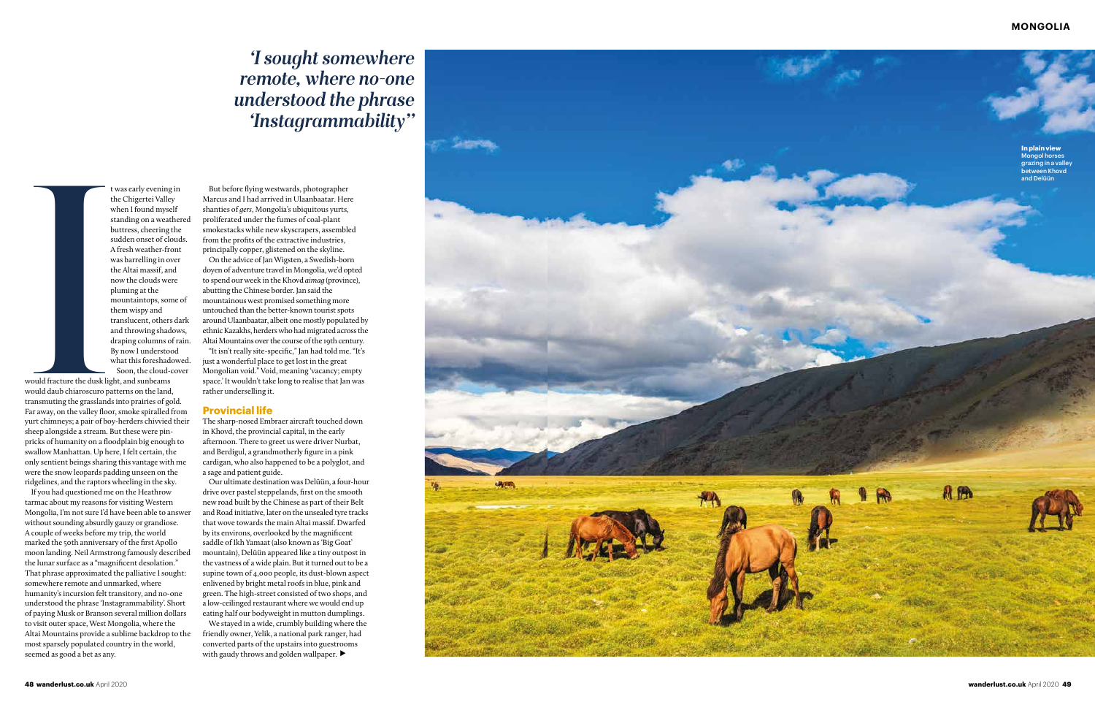t was early evening in the Chigertei Valley when I found myself standing on a weathered buttress, cheering the sudden onset of clouds. A fresh weather-front was barrelling in over the Altai massif, and now the clouds were pluming at the mountaintops, some of them wispy and translucent, others dark and throwing shadows, draping columns of rain. By now I understood what this foreshadowed. Soon, the cloud-cover

would fracture the dusk light, and sunbeams would daub chiaroscuro patterns on the land, transmuting the grasslands into prairies of gold. Far away, on the valley floor, smoke spiralled from yurt chimneys; a pair of boy-herders chivvied their sheep alongside a stream. But these were pinpricks of humanity on a floodplain big enough to swallow Manhattan. Up here, I felt certain, the only sentient beings sharing this vantage with me were the snow leopards padding unseen on the ridgelines, and the raptors wheeling in the sky.

If you had questioned me on the Heathrow tarmac about my reasons for visiting Western Mongolia, I'm not sure I'd have been able to answer without sounding absurdly gauzy or grandiose. A couple of weeks before my trip, the world marked the 50th anniversary of the first Apollo moon landing. Neil Armstrong famously described the lunar surface as a "magnificent desolation." That phrase approximated the palliative I sought: somewhere remote and unmarked, where humanity's incursion felt transitory, and no-one understood the phrase 'Instagrammability'. Short of paying Musk or Branson several million dollars to visit outer space, West Mongolia, where the Altai Mountains provide a sublime backdrop to the most sparsely populated country in the world, seemed as good a bet as any.

with gaudy throws and golden wallpaper. ▶ We stayed in a wide, crumbly building where the friendly owner, Yelik, a national park ranger, had converted parts of the upstairs into guestrooms

But before flying westwards, photographer Marcus and I had arrived in Ulaanbaatar. Here shanties of *gers*, Mongolia's ubiquitous yurts, proliferated under the fumes of coal-plant smokestacks while new skyscrapers, assembled from the profits of the extractive industries, principally copper, glistened on the skyline.

On the advice of Jan Wigsten, a Swedish-born doyen of adventure travel in Mongolia, we'd opted to spend our week in the Khovd *aimag* (province), abutting the Chinese border. Jan said the mountainous west promised something more untouched than the better-known tourist spots around Ulaanbaatar, albeit one mostly populated by ethnic Kazakhs, herders who had migrated across the Altai Mountains over the course of the 19th century.

"It isn't really site-specific," Jan had told me. "It's just a wonderful place to get lost in the great Mongolian void." Void, meaning 'vacancy; empty space.' It wouldn't take long to realise that Jan was rather underselling it.

#### **Provincial life**

The sharp-nosed Embraer aircraft touched down in Khovd, the provincial capital, in the early afternoon. There to greet us were driver Nurbat, and Berdigul, a grandmotherly figure in a pink cardigan, who also happened to be a polyglot, and a sage and patient guide.

Our ultimate destination was Delüün, a four-hour drive over pastel steppelands, first on the smooth new road built by the Chinese as part of their Belt and Road initiative, later on the unsealed tyre tracks that wove towards the main Altai massif. Dwarfed by its environs, overlooked by the magnificent saddle of Ikh Yamaat (also known as 'Big Goat' mountain), Delüün appeared like a tiny outpost in the vastness of a wide plain. But it turned out to be a supine town of 4,000 people, its dust-blown aspect enlivened by bright metal roofs in blue, pink and green. The high-street consisted of two shops, and a low-ceilinged restaurant where we would end up eating half our bodyweight in mutton dumplings.



### *'I sought somewhere remote, where no-one understood the phrase 'Instagrammability''*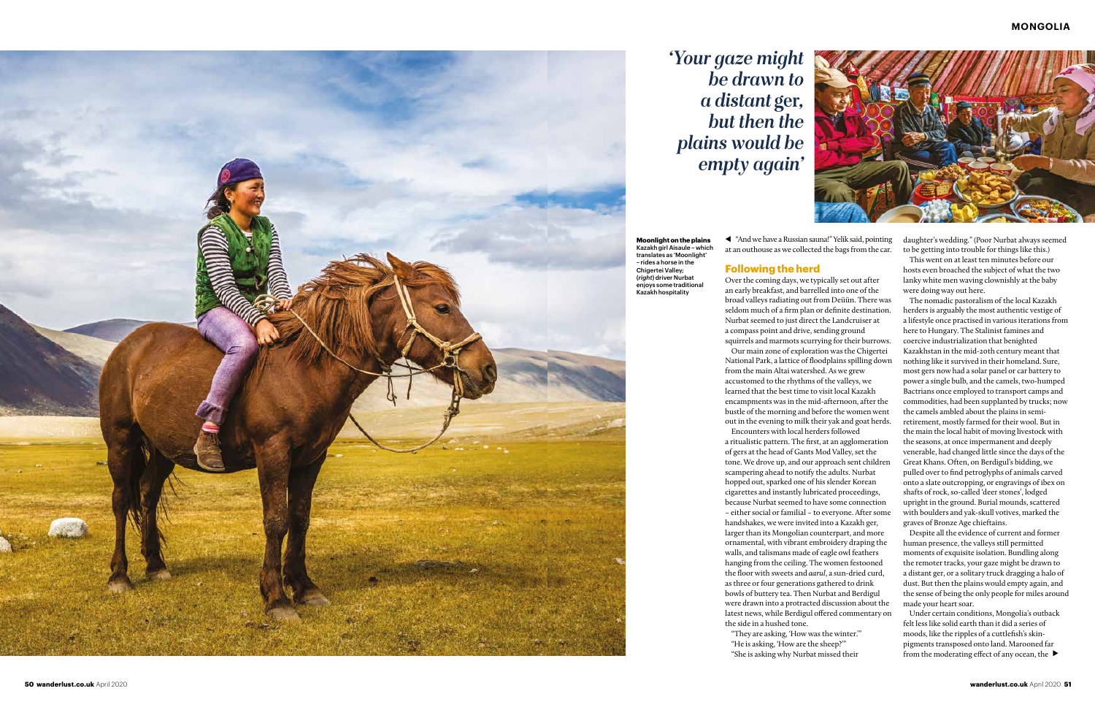

⊳ "And we have a Russian sauna!" Yelik said, pointing at an outhouse as we collected the bags from the car.

**Following the herd**

Over the coming days, we typically set out after an early breakfast, and barrelled into one of the broad valleys radiating out from Deüün. There was seldom much of a firm plan or definite destination. Nurbat seemed to just direct the Landcruiser at a compass point and drive, sending ground squirrels and marmots scurrying for their burrows. Our main zone of exploration was the Chigertei National Park, a lattice of floodplains spilling down from the main Altai watershed. As we grew accustomed to the rhythms of the valleys, we learned that the best time to visit local Kazakh encampments was in the mid-afternoon, after the bustle of the morning and before the women went out in the evening to milk their yak and goat herds. Encounters with local herders followed

a ritualistic pattern. The first, at an agglomeration of gers at the head of Gants Mod Valley, set the tone. We drove up, and our approach sent children scampering ahead to notify the adults. Nurbat hopped out, sparked one of his slender Korean cigarettes and instantly lubricated proceedings, because Nurbat seemed to have some connection – either social or familial – to everyone. After some handshakes, we were invited into a Kazakh ger, larger than its Mongolian counterpart, and more ornamental, with vibrant embroidery draping the walls, and talismans made of eagle owl feathers hanging from the ceiling. The women festooned the floor with sweets and *aarul*, a sun-dried curd, as three or four generations gathered to drink bowls of buttery tea. Then Nurbat and Berdigul were drawn into a protracted discussion about the latest news, while Berdigul offered commentary on the side in a hushed tone.

"They are asking, 'How was the winter.'" "He is asking, 'How are the sheep?'" "She is asking why Nurbat missed their

from the moderating effect of any ocean, the ▶ Under certain conditions, Mongolia's outback felt less like solid earth than it did a series of moods, like the ripples of a cuttlefish's skinpigments transposed onto land. Marooned far

daughter's wedding." (Poor Nurbat always seemed to be getting into trouble for things like this.)

This went on at least ten minutes before our hosts even broached the subject of what the two lanky white men waving clownishly at the baby were doing way out here.

The nomadic pastoralism of the local Kazakh herders is arguably the most authentic vestige of a lifestyle once practised in various iterations from here to Hungary. The Stalinist famines and coercive industrialization that benighted Kazakhstan in the mid-20th century meant that nothing like it survived in their homeland. Sure, most gers now had a solar panel or car battery to power a single bulb, and the camels, two-humped Bactrians once employed to transport camps and commodities, had been supplanted by trucks; now the camels ambled about the plains in semiretirement, mostly farmed for their wool. But in the main the local habit of moving livestock with the seasons, at once impermanent and deeply venerable, had changed little since the days of the Great Khans. Often, on Berdigul's bidding, we pulled over to find petroglyphs of animals carved onto a slate outcropping, or engravings of ibex on shafts of rock, so-called 'deer stones', lodged upright in the ground. Burial mounds, scattered with boulders and yak-skull votives, marked the graves of Bronze Age chieftains.

Despite all the evidence of current and former human presence, the valleys still permitted moments of exquisite isolation. Bundling along the remoter tracks, your gaze might be drawn to a distant ger, or a solitary truck dragging a halo of dust. But then the plains would empty again, and the sense of being the only people for miles around made your heart soar.



*'Your gaze might be drawn to a distant* ger*, but then the plains would be empty again'*

**Moonlight on the plains** Kazakh girl Aisaule – which translates as 'Moonlight' – rides a horse in the Chigertei Valley; (*right*) driver Nurbat enjoys some traditional Kazakh hospitality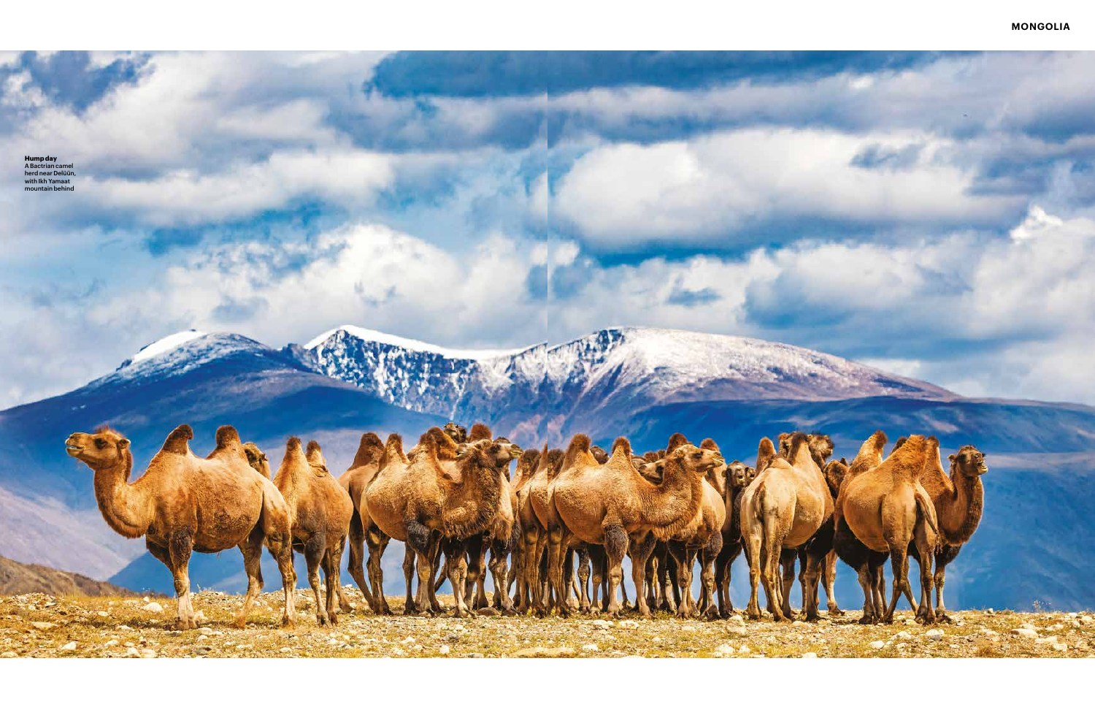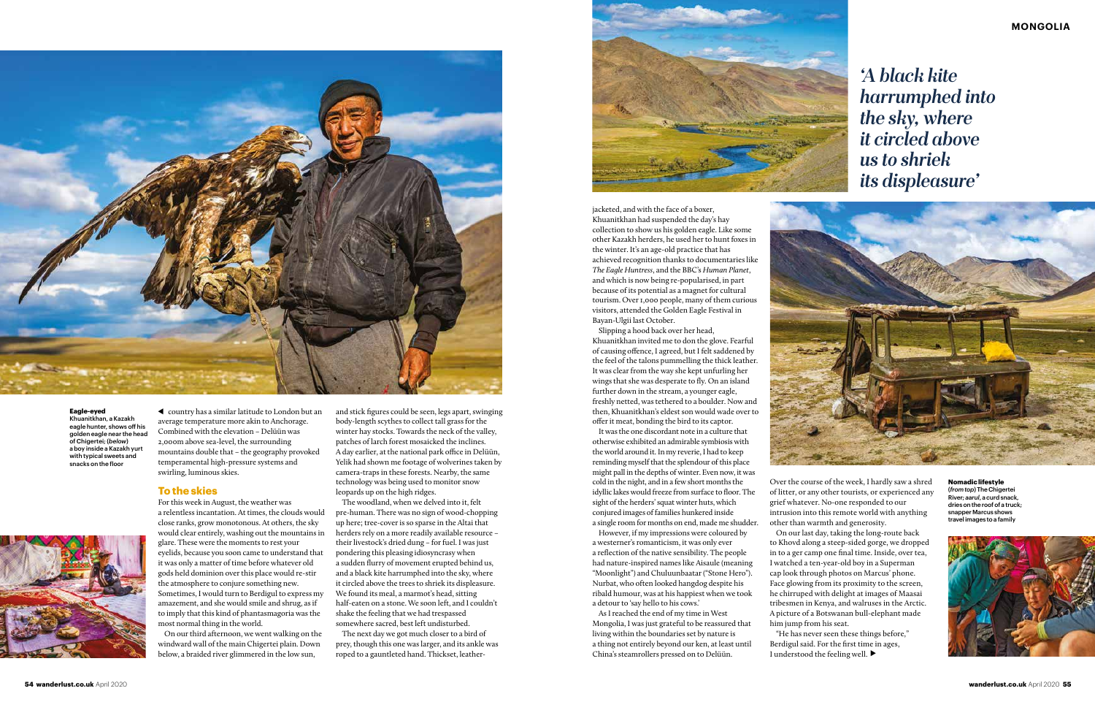jacketed, and with the face of a boxer, Khuanitkhan had suspended the day's hay collection to show us his golden eagle. Like some other Kazakh herders, he used her to hunt foxes in the winter. It's an age-old practice that has achieved recognition thanks to documentaries like *The Eagle Huntress*, and the BBC's *Human Planet*, and which is now being re-popularised, in part because of its potential as a magnet for cultural tourism. Over 1,000 people, many of them curious visitors, attended the Golden Eagle Festival in Bayan-Ulgii last October.

Slipping a hood back over her head, Khuanitkhan invited me to don the glove. Fearful of causing offence, I agreed, but I felt saddened by the feel of the talons pummelling the thick leather. It was clear from the way she kept unfurling her wings that she was desperate to fly. On an island further down in the stream, a younger eagle, freshly netted, was tethered to a boulder. Now and then, Khuanitkhan's eldest son would wade over to offer it meat, bonding the bird to its captor.

It was the one discordant note in a culture that otherwise exhibited an admirable symbiosis with the world around it. In my reverie, I had to keep reminding myself that the splendour of this place might pall in the depths of winter. Even now, it was cold in the night, and in a few short months the idyllic lakes would freeze from surface to floor. The sight of the herders' squat winter huts, which conjured images of families hunkered inside a single room for months on end, made me shudder.

> I understood the feeling well. ▶ "He has never seen these things before," Berdigul said. For the first time in ages,



However, if my impressions were coloured by a westerner's romanticism, it was only ever a reflection of the native sensibility. The people had nature-inspired names like Aisaule (meaning "Moonlight") and Chuluunbaatar ("Stone Hero"). Nurbat, who often looked hangdog despite his ribald humour, was at his happiest when we took a detour to 'say hello to his cows.'

As I reached the end of my time in West Mongolia, I was just grateful to be reassured that living within the boundaries set by nature is a thing not entirely beyond our ken, at least until China's steamrollers pressed on to Delüün.

Over the course of the week, I hardly saw a shred of litter, or any other tourists, or experienced any grief whatever. No-one responded to our intrusion into this remote world with anything other than warmth and generosity.

On our last day, taking the long-route back to Khovd along a steep-sided gorge, we dropped in to a ger camp one final time. Inside, over tea, I watched a ten-year-old boy in a Superman cap look through photos on Marcus' phone. Face glowing from its proximity to the screen, he chirruped with delight at images of Maasai tribesmen in Kenya, and walruses in the Arctic. A picture of a Botswanan bull-elephant made him jump from his seat.

*'A black kite harrumphed into the sky, where it circled above us to shriek its displeasure'*



#### **To the skies**

For this week in August, the weather was a relentless incantation. At times, the clouds would close ranks, grow monotonous. At others, the sky would clear entirely, washing out the mountains in glare. These were the moments to rest your eyelids, because you soon came to understand that it was only a matter of time before whatever old gods held dominion over this place would re-stir the atmosphere to conjure something new. Sometimes, I would turn to Berdigul to express my amazement, and she would smile and shrug, as if to imply that this kind of phantasmagoria was the most normal thing in the world.

On our third afternoon, we went walking on the windward wall of the main Chigertei plain. Down below, a braided river glimmered in the low sun,

and stick figures could be seen, legs apart, swinging body-length scythes to collect tall grass for the winter hay stocks. Towards the neck of the valley, patches of larch forest mosaicked the inclines. A day earlier, at the national park office in Delüün, Yelik had shown me footage of wolverines taken by camera-traps in these forests. Nearby, the same technology was being used to monitor snow leopards up on the high ridges.

The woodland, when we delved into it, felt pre-human. There was no sign of wood-chopping up here; tree-cover is so sparse in the Altai that herders rely on a more readily available resource – their livestock's dried dung – for fuel. I was just pondering this pleasing idiosyncrasy when a sudden flurry of movement erupted behind us, and a black kite harrumphed into the sky, where it circled above the trees to shriek its displeasure. We found its meal, a marmot's head, sitting half-eaten on a stone. We soon left, and I couldn't shake the feeling that we had trespassed somewhere sacred, best left undisturbed.

The next day we got much closer to a bird of prey, though this one was larger, and its ankle was roped to a gauntleted hand. Thickset, leather-





#### **Eagle-eyed**

Khuanitkhan, a Kazakh eagle hunter, shows off his golden eagle near the head of Chigertei; (*below*) a boy inside a Kazakh yurt with typical sweets and snacks on the floor

> **Nomadic lifestyle** (*from top*) The Chigertei River; *aarul*, a curd snack, dries on the roof of a truck; snapper Marcus shows travel images to a family

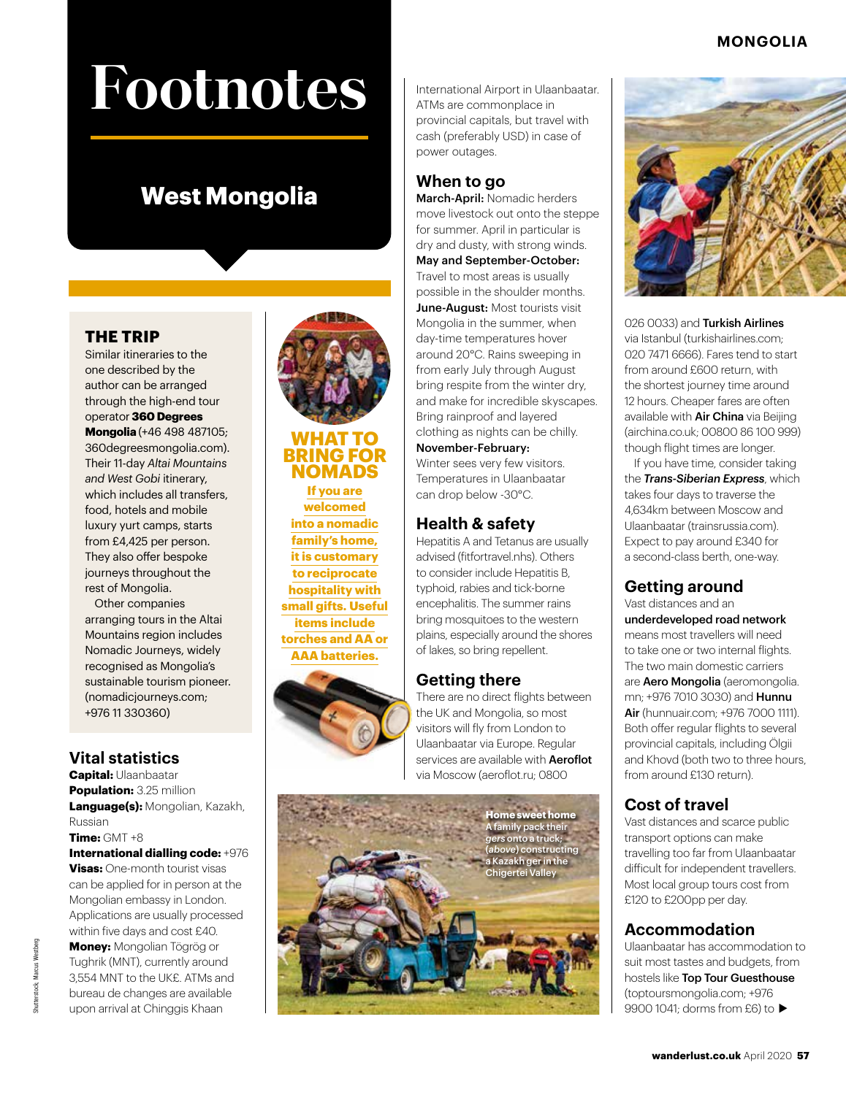# **Footnotes**

#### **West Mongolia**

#### **THE TRIP**

Similar itineraries to the one described by the author can be arranged through the high-end tour operator **360 Degrees Mongolia** (+46 498 487105; 360degreesmongolia.com). Their 11-day *Altai Mountains and West Gobi* itinerary, which includes all transfers. food, hotels and mobile luxury yurt camps, starts from £4,425 per person. They also offer bespoke journeys throughout the rest of Mongolia.

Other companies arranging tours in the Altai Mountains region includes Nomadic Journeys, widely recognised as Mongolia's sustainable tourism pioneer. (nomadicjourneys.com; +976 11 330360)

#### **Vital statistics**

**Capital:** Ulaanbaatar **Population:** 3.25 million **Language(s):** Mongolian, Kazakh, Russian

**Time:** GMT +8

**International dialling code:** +976 **Visas:** One-month tourist visas can be applied for in person at the Mongolian embassy in London. Applications are usually processed within five days and cost £40. **Money:** Mongolian Tögrög or Tughrik (MNT), currently around 3,554 MNT to the UK£. ATMs and bureau de changes are available

upon arrival at Chinggis Khaan



#### **WHAT TO BRING FOR NOMADS**

**If you are welcomed into a nomadic family's home, it is customary to reciprocate hospitality with small gifts. Useful items include torches and AA or AAA batteries.**



International Airport in Ulaanbaatar. ATMs are commonplace in provincial capitals, but travel with cash (preferably USD) in case of power outages.

#### **When to go**

March-April: Nomadic herders move livestock out onto the steppe for summer. April in particular is dry and dusty, with strong winds. May and September-October: Travel to most areas is usually possible in the shoulder months. June-August: Most tourists visit Mongolia in the summer, when day-time temperatures hover around 20°C. Rains sweeping in from early July through August bring respite from the winter dry, and make for incredible skyscapes. Bring rainproof and layered clothing as nights can be chilly. November-February: Winter sees very few visitors.

Temperatures in Ulaanbaatar can drop below -30°C.

#### **Health & safety**

Hepatitis A and Tetanus are usually advised (fitfortravel.nhs). Others to consider include Hepatitis B, typhoid, rabies and tick-borne encephalitis. The summer rains bring mosquitoes to the western plains, especially around the shores of lakes, so bring repellent.

#### **Getting there**

There are no direct flights between the UK and Mongolia, so most visitors will fly from London to Ulaanbaatar via Europe. Regular services are available with **Aeroflot** via Moscow (aeroflot.ru; 0800





026 0033) and Turkish Airlines via Istanbul (turkishairlines.com; 020 7471 6666). Fares tend to start from around £600 return, with the shortest journey time around 12 hours. Cheaper fares are often available with **Air China** via Beijing (airchina.co.uk; 00800 86 100 999) though flight times are longer.

If you have time, consider taking the *Trans-Siberian Express*, which takes four days to traverse the 4,634km between Moscow and Ulaanbaatar (trainsrussia.com). Expect to pay around £340 for a second-class berth, one-way.

#### **Getting around**

Vast distances and an underdeveloped road network means most travellers will need to take one or two internal flights. The two main domestic carriers are Aero Mongolia (aeromongolia. mn; +976 7010 3030) and **Hunnu** Air (hunnuair.com; +976 7000 1111). Both offer regular flights to several provincial capitals, including Ölgii and Khovd (both two to three hours, from around £130 return).

#### **Cost of travel**

Vast distances and scarce public transport options can make travelling too far from Ulaanbaatar difficult for independent travellers. Most local group tours cost from £120 to £200pp per day.

#### **Accommodation**

Ulaanbaatar has accommodation to suit most tastes and budgets, from hostels like Top Tour Guesthouse (toptoursmongolia.com; +976 9900 1041; dorms from £6) to  $\blacktriangleright$